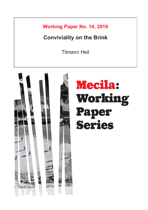**Working Paper No. 14, 2019**

# **Conviviality on the Brink**

Tilmann Heil

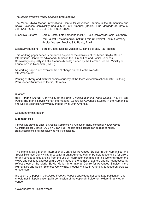The *Mecila Working Paper Series* is produced by:

The Maria Sibylla Merian International Centre for Advanced Studies in the Humanities and Social Sciences Conviviality-Inequality in Latin America (Mecila), Rua Morgado de Mateus, 615, São Paulo – SP, CEP 04015-902, Brazil.

- Executive Editors: Sérgio Costa, Lateinamerika-Institut, Freie Universität Berlin, Germany Paul Talcott, Lateinamerika-Institut, Freie Universität Berlin, Germany Nicolas Wasser, Mecila, São Paulo, Brazil
- Editing/Production: Sérgio Costa, Nicolas Wasser, Luciane Scarato, Paul Talcott

This working paper series is produced as part of the activities of the Maria Sibylla Merian International Centre for Advanced Studies in the Humanities and Social Sciences Conviviality-Inequality in Latin America (Mecila) funded by the German Federal Ministry of Education and Research (BMBF).

All working papers are available free of charge on the Centre website: http://mecila.net

Printing of library and archival copies courtesy of the Ibero-Amerikanisches Institut, Stiftung Preußischer Kulturbesitz, Berlin, Germany.

#### Citation:

Heil, Tilmann (2019): "Conviviality on the Brink", *Mecila Working Paper Series*, No. 14, São Paulo: The Maria Sibylla Merian International Centre for Advanced Studies in the Humanities and Social Sciences Conviviality-Inequality in Latin America.

Copyright for this edition:

#### © Tilmann Heil

This work is provided under a Creative Commons 4.0 Attribution-NonCommercial-NoDerivatives 4.0 International License (CC BY-NC-ND 4.0). The text of the license can be read at https:// creativecommons.org/licenses/by-nc-nd/4.0/legalcode.

The Maria Sibylla Merian International Centre for Advanced Studies in the Humanities and Social Sciences Conviviality-Inequality in Latin America cannot be held responsible for errors or any consequences arising from the use of information contained in this Working Paper; the views and opinions expressed are solely those of the author or authors and do not necessarily reflect those of the Maria Sibylla Merian International Centre for Advanced Studies in the Humanities and Social Sciences Conviviality-Inequality in Latin America, its research projects or sponsors.

Inclusion of a paper in the *Mecila Working Paper Series* does not constitute publication and should not limit publication (with permission of the copyright holder or holders) in any other venue.

Cover photo: © Nicolas Wasser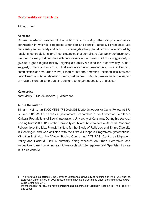# **Conviviality on the Brink**

Tilmann Heil

### **Abstract**

Current academic usages of the notion of conviviality often carry a normative connotation in which it is opposed to tension and conflict. Instead, I propose to use conviviality as an analytical term. This everyday living together is characterized by tensions, contradictions, and inconsistencies that complicate abstract theorization and the use of clearly defined concepts whose role is, as Stuart Hall once suggested, to give us a good night's rest by feigning a stability we long for. If conviviality is, as I suggest, understood as a notion that embraces the inconsistencies, multiplicities, and complexities of new urban ways, I inquire into the emerging relationalities between recently-arrived Senegalese and their social context in Rio de Janeiro under the impact of multiple hierarchical orders, including race, origin, education, and class. $^1$ 

#### **Keywords:**

conviviality | Rio de Janeiro | difference

#### **About the author:**

Tilmann Heil is an INCOMING [PEGASUS] Marie Sklodowska-Curie Fellow at KU Leuven. 2013-2017, he was a postdoctoral researcher in the Center of Excellence 'Cultural Foundations of Social Integration', University of Konstanz. During his doctoral training from 2009-2013 at the University of Oxford, he also held a Doctoral Research Fellowship at the Max Planck Institute for the Study of Religious and Ethnic Diversity in Goettingen and was affiliated with the Oxford Diaspora Programme (International Migration Institute), the African Studies Centre and COMPAS (Centre on Migration, Policy and Society). Heil is currently doing research on urban hierarchies and inequalities based on ethnographic research with Senegalese and Spanish migrants in Rio de Janeiro.

1 This work was supported by the Center of Excellence, University of Konstanz and the FWO and the European Union's Horizon 2020 research and innovation programme under the Marie Sklodowska-Curie Grant [665501]. I thank Magdalena Nowicka for the profound and insightful discussions we had on several aspects of this paper.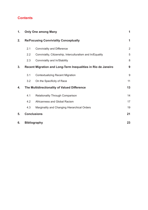# **Contents**

| 1. |                                                               | <b>Only One among Many</b>                                  |                |
|----|---------------------------------------------------------------|-------------------------------------------------------------|----------------|
| 2. | <b>Re/Focusing Conviviality Conceptually</b>                  |                                                             | 1              |
|    | 2.1                                                           | <b>Conviviality and Difference</b>                          | $\overline{2}$ |
|    | 2.2                                                           | Conviviality, Citizenship, Interculturalism and In/Equality | 5              |
|    | 2.3                                                           | Conviviality and In/Stability                               | 8              |
| 3. | Recent Migration and Long-Term Inequalities in Rio de Janeiro |                                                             | 9              |
|    | 3.1                                                           | <b>Contextualizing Recent Migration</b>                     | $9\,$          |
|    | 3.2                                                           | On the Specificity of Race                                  | 11             |
| 4. | The Multidirectionality of Valued Difference                  |                                                             | 13             |
|    | 4.1                                                           | <b>Relationality Through Comparison</b>                     | 14             |
|    | 4.2                                                           | Africanness and Global Racism                               | 17             |
|    | 4.3                                                           | Marginality and Changing Hierarchical Orders                | 19             |
| 5. | <b>Conclusions</b>                                            |                                                             | 21             |
| 6. |                                                               | <b>Bibliography</b>                                         | 23             |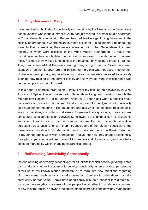# **1. Only One among Many**

I was inspired to think about conviviality on the brink by the lives of some Senegalese beach vendors who in the summer of 2016 had just moved to a small studio apartment in Copacabana, Rio de Janeiro. Before, they had lived in a gentrifying *favela* and in the socially heterogeneous Centro neighbourhood of Niteroi, Rio de Janeiro's neighbouring town. In their spare time, they mainly interacted with other Senegalese, the great majority of whom were disciples of the Murid Muslim brotherhood. To make their migration adventure worthwhile, their economic success in Rio de Janeiro mattered most. For that, they worked long shifts at the beaches, only taking a break if it rained. They clearly sensed that they were among many trying to get by. Given the current situation of economic downturn and political turmoil, this was not easy. Independent of the economic priority, my interlocutors' daily commentaries revealed to anybody listening how relating to the current locality and its ways of living with difference was neither simple nor straightforward.

In this paper, I address three points: Firstly, I root my thinking on conviviality in West Africa and Spain. Having worked with Senegalese living and passing through the Metropolitan Region of Rio de Janeiro since 2014, I then ask what is specific about conviviality and race in this context. Finally, I inquire into the dynamic of conviviality as it happens on the brink in Rio de Janeiro and ask what kind of social relations exist in a city that always is under social stress. To answer these questions, I provide some conceptual considerations on conviviality, followed by a juxtaposition to citizenship and interculturalism as two concepts more prominently used for similar analytical purposes across Latin America. I then introduce some of the relevant specificity of the Senegalese migration to Rio de Janeiro and of race and racism in Brazil. Returning to my ethnographic work with Senegalese I delve into how they created relationality through comparison, faced discourses of Africanness and global racism, and handled a sense of marginality within changing hierarchical orders.

# **2. Re/Focusing Conviviality Conceptually**

Instead of using conviviality descriptively for situations in which people get along, I step back and ask whether the attempt to develop conviviality as an analytical perspective allows us to tell known stories differently or to formulate new questions regarding old phenomena, such as racism or discrimination. Contrary to publications that take conviviality at face value, I have developed conviviality as a concept that directs our focus on the everyday processes of how people live together in mundane encounters, of how they re/translate between their maintained differences and how they re/negotiate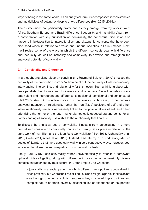ways of being in the same locale. As an analytical term, it encompasses inconsistencies and multiplicities of getting by despite one's differences (Heil 2015, 2014a).

Three dimensions are particularly prominent, as they emerge from my work in West Africa, Southern Europe, and Brazil: difference, in/equality, and in/stability. Apart from a conversation with key publication on conviviality, the conceptual discussion also happens in juxtaposition to interculturalism and citizenship, concepts that have been discussed widely in relation to diverse and unequal societies in Latin America. Next, I will revise some of the ways in which the different concepts deal with difference and inequality, as well as instability and complexity, to develop and strengthen the analytical potential of conviviality.

## **2.1 Conviviality and Difference**

In a thought-provoking piece on convivialism, Raymond Boisvert (2010) stresses the centrality of the preposition 'con' or 'with' to point out the centrality of interdependency, interweaving, intertwining, and relationality for this notion. Such a thinking about withness parallels the discussions of difference and otherness. Self-other relations are ambivalent and interdependent, difference is 'positional, conditional and conjunctural' (Hall 2005: 447). A distinctive concern to conviviality is, however, to concentrate analytical attention on relationality rather than on (fixed) positions of self and other. While relationality remains necessarily linked to the positionalities of self and other, prioritizing the former or the latter marks diametrically opposed starting points for an understanding of sociality. It is a shift to the relationality that I pursue.

To discuss the analytical use of conviviality, I abstain from participating in a more normative discussion on conviviality that also currently takes place in relation to the early work of Ivan Illich and the Manifeste Convivialiste (Illich 1973; Alphandéry et al. 2013; Caillé 2011; Adloff et al. 2016). Instead, I situate my own work alongside two bodies of literature that have used conviviality in very contrastive ways, however, both in relation to difference and inequality in postcolonial contexts.

Firstly, Paul Gilroy uses conviviality rather unsystematically to refer to a somewhat optimistic idea of getting along with difference in postcolonial, increasingly diverse contexts characterized by multiculture. In "After Empire", he writes that

[c]onviviality is a social pattern in which different metropolitan groups dwell in close proximity, but where their racial, linguistic and religious particularities do not – as the logic of ethnic absolutism suggests they must – add up to ordinary and complex nature of ethnic diversity discontinuities of experience or insuperable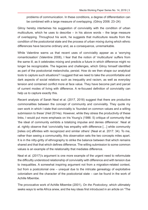problems of communication. In these conditions, a degree of differentiation can be combined with a large measure of overlapping. (Gilroy 2006: 23–24)

Gilroy hereby intertwines his suggestion of conviviality with the condition of urban multiculture, which he uses to describe – in his above words – the large measure of overlapping. Throughout his work, he suggests that multiculture results from the condition of the postcolonial state and the process of urban mixing during which ethnic differences have become ordinary and, as a consequence, unremarkable.

While Valentine warns us that recent uses of conviviality appear as a 'worrying romanticisation' (Valentine 2008), I fear that the notion of 'multiculture' suffers from the same ill, as it celebrates mixing and predicts a future in which difference might no longer be recognizable. The legacies and challenges, which Gilroy himself identified as part of the postcolonial melancholia, persist. How do we then shape our analytical tools to capture such situations? I suggest that we need to take the uncomfortable and dark aspects of social relations such as inequality and racism, as well as everyday tension and contained conflict more at face value. They have become part and parcel of current modes of living with difference. A re-focused definition of conviviality can help us to capture exactly this.

Recent analysis of Sarah Neal et al. (2017, 2018) suggest that there are productive commonalities between the concept of community and conviviality. They quote my own work in which I state that conviviality is 'founded on common values and a willing submission to these' (Heil 2014a). However, while they stress the productivity of these links, I would put more emphasis on Iris Young's (1986: 5) critique of community that 'the ideal of community exhibits a totalizing impulse and denies difference'. Neal at al. rightly observe that 'conviviality has empathy with difference […] while community [relies on] affinities with recognized and similar others' (Neal et al. 2017: 34). To me, rather than seeing a communality, this observation sets the two concepts miles apart. It is in the nitty-gritty of ethnography to strike the balance between that which remains shared and that that which defines difference. The willing submission to some common values is an example of the relationality that mediates difference.

Neal et al. (2017)'s argument is one more example of the urgent need to reformulate the difficultly understood relationship of conviviality with difference and with tension due to inequalities. A somewhat inspiring argument not from a migration-related context, but from a postcolonial one – unequal due to the intricate genealogy of exploitative colonialism and the character of the postcolonial state – can be found in the work of Achille Mbembe.

The provocative work of Achille Mbembe (2001), *On the Postcolony*, which ultimately seeks ways to write Africa anew, and the key ideas first introduced in an article on "The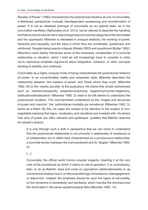Banality of Power" (1992) characterizes the postcolonial situation as one of conviviality, a fetishized, paradoxical, mutually interdependent questioning and reconfirmation of power. It is not an idealized portrayal of conviviality as an optimal state, as in the convivialist manifesto (Alphandéry et al. 2013), but an attempt to describe the hardship and failure of postcolonial rule in ways that go beyond colonial categories of the dominated and the oppressed. Mbembe is interested in unequal relations, the working of power, hierarchy and inequality, and the ways in which they are constituted, questioned, and reinforced. Despite being heavily critiqued (Weate 2003) and questioned (Butler 1992), Mbembe's work starkly introduces some of the necessary complexities of a convivial relationship or situation, which I hold we will increasingly have to consider in order not to reproduce simplistic arguments about integration, cohesion, or other concepts alluding to stability and continuity.

Conviviality as a highly unequal mode of being characterizes the postcolonial relations of power. In an uncomfortably realist and outspoken style, Mbembe describes the relationship between 'the masters of power' and 'those whom they crush' (Mbembe 1992: 24) in the 'chaotic plurality' of the postcolony. He claims that simple dichotomies such as 'resistance/passivity, subjection/autonomy, hegemony/counter-hegemony, totalization/detotalization' (Mbembe 1992: 3) need to be left behind to understand the postcolonial condition. The commandment understood as the 'images and structures of power and coercion', the 'authoritarian modality *par excellence*' (Mbembe 1992: 3), works as a fetish. By this, he urges the analyst to be attentive to the surplus of nonnegotiable meaning that signs, vocabulary, and narratives are invested with. He shows how acts of power are often obscene and grotesque, qualities that Bakhtin reserves for people's actions.

It is only through such a shift in perspective that we can come to understand that the postcolonial relationship is not primarily a relationship of resistance or of collaboration but is rather best characterized as a promiscuous relationship: a convivial tension between the commandment and its "targets" (Mbembe 1992: 5).

[…]

Conversely, the official world mimics popular vulgarity, inserting it at the very core of the procedures by which it claims to rise to grandeur. It is unnecessary, then, to do as Bakhtin does and insist on oppositions [dédoublements] or, as conventional analysis has it, on the purported logic of resistance, disengagement, or disjunction. Instead, the emphasis should be upon the logics of conviviality, on the dynamics of domesticity and familiarity, which inscribe the dominant and the dominated in the same epistemological field (Mbembe 1992: 14).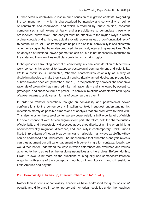Further detail is worthwhile to inspire our discussion of migration contexts. Regarding the commandment – which is characterized by interplay and conviviality, a regime of constraints and connivance, and which is 'marked by innate caution, constant compromises, small tokens of fealty, and a precipitance to denunciate those who are labelled "subversive" – the analyst must be attentive to the myriad ways in which ordinary people bridle, trick, and actually toy with power instead of confronting it directly.' (Mbembe 1992: 22) Such framings are helpful to also think conviviality in societies with other genealogies that have also produced hierarchical, intersecting inequalities. Such an analysis of relational power geometries can be, but is not necessarily restricted to the state and likely involves multiple, coexisting structuring logics.

In the quest for a troubling concept of conviviality, my final consideration of Mbembe's work concerns his attempt to juxtapose postcolonial commandment and coloniality. While a continuity is undeniable, Mbembe characterizes coloniality as a way of disciplining bodies to make them sexually and spiritually tamed, docile, and productive, submissive and obedient (Mbembe 1992: 18). In the postcolony, however, the economic rationale of coloniality has vanished – its main rationale – and is followed by eccentric, grotesque, and obscene forms of power. Do convivial relations characterize both types of power regimes, or do certain forms of power surpass them?

In order to transfer Mbembe's thought on conviviality and post/colonial power configurations to the contemporary Brazilian context, I suggest understanding his reflections merely as possible dimensions of analysis that are productive to think with. This also holds for the case of contemporary power relations in Rio de Janeiro of which the new presence of West African migrants form part. Therefore, both the characteristics of coloniality and the postcolony discussed above should be kept in mind when thinking about conviviality, migration, difference, and inequality in contemporary Brazil. Since I like to think patterns of inequality as dynamic and malleable, many ways exist of how they can be addressed and understood. The mechanisms that Mbembe's analysis reveals can thus augment our critical engagement with current migration contexts. Ideally, we would then better understand the ways in which differences are evaluated and values attached to them, as well as the resulting inequalities and hierarchies. Before I do this, I want to dwell a bit more on the questions of in/equality and sameness/difference engaging with some of the conceptual thought on interculturalism and citizenship in Latin America and beyond.

## **2.2 Conviviality, Citizenship, Interculturalism and In/Equality**

Rather than in terms of conviviality, academics have addressed the questions of in/ equality and difference in contemporary Latin American societies under the headings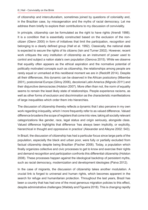of citizenship and interculturalism, sometimes joined by questions of coloniality and, in the Brazilian case, by miscegenation and the myths of racial democracy. Let me address them briefly to explore their contributions to my discussion of conviviality.

In principle, citizenship can be formulated as the right to have rights (Arendt 1998). It is a condition that is essentially constructed based on the exclusion of the noncitizen (Glenn 2000) in form of initiatives that limit the participation, recognition and belonging to a clearly defined group (Hall et al. 1992). Classically, the national state is expected to secure the rights of its citizens (Isin and Turner 2002). However, recent work critiques the very institution of citizenship as an instrument of power used to control and subject a nation state's own population (Genova 2015). While we observe that equality often appears as the ethical aspiration and the normative potential of politically motivated concepts such as citizenship, the relationships among people are rarely equal or unmarked at this neoliberal moment we are in (Redclift 2014). Despite all their differences, this dynamic can be observed in the African postcolony (Mbembe 2001), postcolonial Europe (Gilroy 2006), decolonial Latin America (Mignolo 2011) and their disjunctive democracies (Holston 2007). More often than not, the norm of equality seems to remain the least likely state of relationships. People experience racisms, as well as other forms of exclusion and discrimination as the characteristic manifestations of large inequalities which order them into hierarchies.

The discussion of citizenship thereby reflects a dynamic that I also perceive in my own work regarding in/equality, which I more frequently refer to as valued difference. Valued difference broadens the scope of registers that come into view, taking all socially relevant categorizations like gender, race, legal status and origin seriously, alongside class. Valued difference highlights that difference 'has always been implicitly, or explicitly, hierarchical in thought and oppressive in practice' (Alexander and Alleyne 2002: 543).

In Brazil, the discussion of citizenship has had a particular focus since large parts of the population, especially the black and urban poor, were fully or partially excluded from factual citizenship despite being Brazilian (Fischer 2008). Today, a population which finally organizes collective and civic processes to get to know and exercise their rights and demand recognition and participation confronts this differential citizenship (Holston 2008). These processes happen against the ideological backdrop of persistent myths, such as racial democracy, modernization and development ideologies (Paiva 2012).

In the case of migrants, the discussion of citizenship takes another modulation. A crucial link is forged to universal and human rights, which becomes apparent in the search for refuge and humanitarian protection. Throughout the last years, Brazil has been a country that has had one of the most generous migration policies to this effect, despite administrative challenges (Waldely and Figueira 2018). This is changing rapidly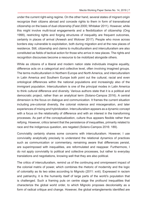under the current right-wing regime. On the other hand, several states of migrant origin recognize their citizens abroad and concede rights to them in form of transnational citizenship on the basis of dual citizenship (Faist 2000; Whitaker 2011). However, while this might involve multi-local engagements and a flexibilization of citizenship (Ong 1999), restricting rights and forging structures of inequality are frequent outcomes, certainly in places of arrival (Aneesh and Wolover 2017). People who move across borders stay vulnerable to exploitation, both during migration and at the new places of residence. Still, citizenship and claims to multiculturalism and interculturalism are also constituted as fields of tactical action for those who arrive in new places. The rights and recognition discourses become a resource to be mobilized alongside others.

While as citizens of a liberal and modern nation state individuals imagine equality, difference acts on a categorical and collective level, often involving imagined groups. The terms multiculturalism in Northern Europe and North America, and interculturalism in Latin America and Southern Europe both point out the cultural, racial and even ontological differences within the national populations and increasingly also of the immigrant population. Interculturalism is one of the principal modes in Latin America to think cultural difference and diversity. Various authors state that it is a political and democratic project, rather than an analytical term (Solano-Campos 2016). A central dimension is the focus on dialogue and communication. It frames the current situation including pre-colonial diversity, the colonial violence and miscegenation, and later experiences of mixing and hybridization. Interculturalism appears as a dynamic concept with a focus on the relationality of difference and with an interest in the transforming processes. As part of the conceptualization, culture thus appears flexible rather than reifying. However, critics lament that the persistence of inequalities, primarily related to race and the indigenous question, are negated (Solano-Campos 2016: 189).

Conviviality certainly shares some concerns with interculturalism. However, I use conviviality analytically precisely to understand the relational dynamics of practices such as communication or commentary, remaining aware that differences persist, are superimposed with inequalities, are reformulated and reappear. Furthermore, I do not apply conviviality to political and collective processes, but rather to everyday translations and negotiations, knowing well that they are also political.

The critics of interculturalism, remind us of the continuing and omnipresent impact of the colonial matrix of power, which combines the rhetoric of modernity and the logic of coloniality as its two sides according to Mignolo (2011: xviii). Expressed in racism and patriarchy, it is the humanity itself of large parts of the world's population that is challenged. Such a framing puts on centre stage the profound inequalities that characterize the global world order, to which Mignolo proposes decoloniality as a form of radical critique and change. However, the global entanglements identified are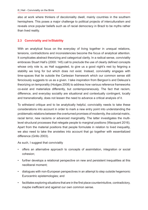also at work where thinkers of decoloniality dwell, mainly countries in the southern hemisphere. This poses a major challenge to political projects of interculturalism and reveals once popular beliefs such as of racial democracy in Brazil to be myths rather than lived reality.

#### **2.3 Conviviality and In/Stability**

With an analytical focus on the everyday of living together in unequal relations, tensions, contradictions and inconsistencies become the focus of analytical attention. It complicates abstract theorizing and categorical clarity. In a radical sense, conviviality embraces Stuart Hall's (2000: 145) call to preclude the use of clearly defined concepts whose only role is, as Hall suggested, to give us a good night's rest by feigning a stability we long for but which does not exist. Instead, conviviality engages with time-spaces that lie outside the Cartesian framework which our common sense still ferociously suggests to us as a given. I take inspiration from Bergson's and Deleuze's theorizing on temporality (Hodges 2008) to address how various reference frameworks co-exist and materialize differently, but contemporaneously. The fact that racism, difference, and everyday sociality are situational and contextually contingent, locally and transnationally, does not lessen the need to advance a critical analysis of it.

To withstand critique and to be analytically helpful, conviviality needs to take these considerations into account in order to mark a new entry point into understanding the problematic relations between the overturned promises of modernity, the colonial matrix, racial terror, new racisms or advanced marginality. The latter investigates the multilevel structural processes that relegate people to marginal positions (Wacquant 2016). Apart from the material positions that people formulate in relation to lived inequality, we also need to take the anxieties into account that go together with essentialized difference (Grillo 2003).

As such, I suggest that conviviality

- offers an alternative approach to concepts of assimilation, integration or social cohesion;
- further develops a relational perspective on new and persistent inequalities at this neoliberal moment;
- dialogues with non-European perspectives in an attempt to step outside hegemonic Eurocentric epistemologies; and
- facilitates exploring situations that are in the first place counterintuitive, contradictory, maybe inefficient and against our own common sense.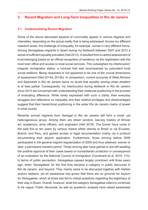## **3. Recent Migration and Long-Term Inequalities in Rio de Janeiro**

#### **3.1 Contextualizing Recent Migration**

Some of the above discussed aspects of conviviality appear in various degrees and intensities, depending on the actual reality that is being addressed. Across my different research areas, the challenge of in/equality, for example, comes in very different forms. Among Senegalese migrants in Spain during my fieldwork between 2007 and 2013 a sense of sufficient equality prevailed (Heil 2013). It resulted from a careful assessment of local belonging based on an official recognition of residency via the registration with the local town office and access to local social services. This outweighed my interlocutors' irregular immigration status, a contrast that was accompanied by polyvalent local social relations. Being respected or not appeared to be one of the crucial dimensions of assessment (Heil 2014a, 2014b). In comparison, current accounts of West Africans and Spaniards in Rio de Janeiro leave no doubt that equality among urban dwellers is at best partial. Consequently, my interlocutors during fieldwork in Rio de Janeiro since 2014 are concerned with understanding their relational positioning in the process of evaluating difference. While rarely expressed with such a clarity, their everyday struggles and reflections on inequality and their relative privileges and disadvantages suggest that their hierarchical positioning in the wider Rio de Janeiro matrix of power is what counts.

Recently arrived migrants from Senegal in Rio de Janeiro still form a small, yet heterogeneous group. Among them are street vendors, low-key traders of African art, academics, army officers, and engineers (Heil 2018). The former have come in the past five to ten years by various means either directly to Brazil or via Ecuador, Bolivia, and Peru, and gained access to legal documentation mainly via a protocol documenting their asylum application. Furthermore, those arriving before 2009 participated in the general migrant regularization of 2009 and thus obtained, sooner or later, a permanent resident permit. Those arriving later have gained or are still awaiting the positive approval of their cases based on humanitarian protection in consequence of an evaluation by the National Council of Immigration (Cavalcanti et al. 2015: 113). In terms of public perception, Senegalese passed largely unnoticed until three years ago, when 'Senegalese' for the first time became a category in public discourse in Rio de Janeiro, and beyond. They mainly came to be discussed together with Haitian asylum seekers, yet an awareness has grown that there are no grounds for asylum for Senegalese, which at times has led to critical questions regarding the legitimacy of their stay in Brazil. Overall, however, what the category Senegalese refers to continues to be vague. Public discourse, as well as academic analysis have raised awareness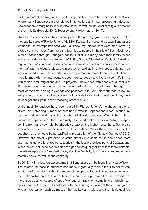for the apparent racism that they suffer, especially in the rather white south of Brazil, where many Senegalese are employed in agriculture and meat-processing industries. Socioeconomic marginality is also discussed, as well as the Muslim religious practice of the majority (Herédia 2015; Tedesco and Kleidermacher 2017).

Over the last four years, I have accompanied the growing group of Senegalese in the metropolitan area of Rio de Janeiro (Heil 2018). Apart from around a dozen Senegalese women in the metropolitan area who I all know, my interlocutors were men, covering a wide variety of ages from the early twenties to people in their late fifties. Most have lived or passed through Senegal's capital, Dakar, but many have their family routes in the secondary cities and regions of Thiès, Touba, Diourbel or Kaolack. Based on regular meetings, informal discussions and semi-structured interviews in their homes, their *dahiras* (religious circles), the mosque, as well as in public spaces during their work as vendors and their work places on permanent markets and in institutions, I have learned with my interlocutors about how to get by and live a decent life in line with their overall migrations and life projects. I have been with people of all walks of life, appreciating their heterogeneity having arrived at some point from Senegal and most of the time holding a Senegalese passport. It is from this work that I draw my insights into the comparative discussion of conviviality, originally developed in my work in Senegal and Spain in the preceding years (Heil 2013).

While most Senegalese have been based in Rio de Janeiro's neighbouring city of Niterói, an increasing number of them has moved to Copacabana since I started my research. Mainly working at the beaches of Rio de Janeiro's affluent South Zone (including Copacabana), they eventually calculated that the costs of public transport coming from far away neighbourhoods surpassed the higher rents there. Some also experimented with life in the *favelas* in Rio de Janeiro's southern zone, next to the beaches, as they were being pacified in preparation of the Olympic Games of 2016. However, the majority preferred to settle directly into some of the one or two-room apartments generally rented out to tourists in the less prestigious parts of Copacabana. While the rents of these apartments are high and the quality at times less than desirable, the advantages are a furnished place, absolute flexibility to come, go, and move on a monthly basis, as well as the centrality.

By 2018, my interlocutors assured me that Senegalese can be found in any part of town. The relative increase in numbers has made it gradually more difficult to collectively locate the Senegalese within the metropolitan space. This collective trajectory within the metropolitan area of Rio de Janeiro should be kept in mind for the reminder of the paper, as a rich source of specificity and contradiction, something on which I can only in part deliver here. It contrasts with the housing situation of those Senegalese who arrived earlier, such as most of the low-key art traders and the highly-qualified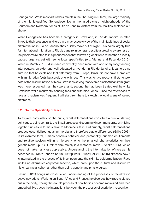Senegalese. While most art traders maintain their housing in Niterói, the large majority of the highly-qualified Senegalese live in the middle-class neighborhoods of the Southern and Northern Zones of Rio de Janeiro, distant from the realities sketched out above.

While Senegalese has become a category in Brazil and, in Rio de Janeiro, is often linked to their presence in Niterói, in a macroscopic view of the main fault-lines of social differentiation in Rio de Janeiro, they quickly move out of sight. This holds largely true for international migration to Rio de Janeiro in general, despite a growing awareness of the problems related to it, a phenomenon that follows a global trend rather than a locally caused urgency, yet with some local specificities (e.g. Vianna and Facundo 2015). When in March 2018 I discussed conviviality once more with one of my longstanding interlocutors, an older and well-educated art vendor in Rio de Janeiro, it came as no surprise that he explained that differently from Europe, Brazil did not have a problem with immigration (yet), but surely one with race. This was for two reasons: first, he took note of the discrimination of black Brazilians saying that even a black African immigrant was more respected than they were; and, second, he had been treated well by white Brazilians while recurrently sensing tensions with black ones. Since the references to race and racism was frequent, I will start from here to sketch the local scene of valued difference.

## **3.2 On the Specificity of Race**

To explore conviviality on the brink, racist differentiations constitute a crucial starting point due to being central to the Brazilian case and seemingly incommensurate with living together, unless in terms similar to Mbembe's take. Put crudely, racist differentiations produce essentialized, quasi-primordial and therefore stable differences (Grillo 2003). In its extreme form, it maps people's behavior and personality, but also entitlements and relative position within a hierarchy, onto the physical characteristics or their genetic make-up. "Cultural" racism mainly is a rhetorical move (Stolcke 1995), which does not make it any less oppressive. Understanding the internalization of race as it is described in Frantz Fanon's (2008 [1952]) work, Stuart Hall (1996: 16) stresses how it is internalized in the process of its inscription onto the skin, its epidermalization. Race incites an alternative corporeal schema, which calls upon the cultural and discursive historical-racial schema rather than being genetic and physiological.

Fassin (2011) brings us closer to an understanding of the processes of racialization active nowadays. Working on South Africa and France, he observes how race is played out in the body, tracing the double process of how bodies become racialized and race embodied. He traces the interactions between the processes of ascription, recognition,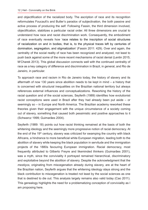and objectification of the racialized body. The ascription of race and its recognition reformulates Foucault's and Butler's paradox of subjectivation, the both passive and active process of producing the self. Following Fassin, the third dimension involved, objectification, stabilizes a particular racial order. All three dimensions are crucial to understand how race and racist discrimination work. Consequently, the embodiment of race eventually reveals how 'race relates to the inscription of social structures of racialization on and in bodies, that is, to the physical traces left by centuries of domination, segregation, and stigmatization' (Fassin 2011: 429). Over and again, the centrality of the social reality of race has been recognized and analyzed, not least to push back against some of the more recent mechanisms of racist denial (Lentin 2015; M'Charek 2013). This global discussion connects well with the continued centrality of race as a key category of difference and discrimination in Brazil, in general, and Rio de Janeiro, in particular.

To approach race and racism in Rio de Janeiro today, the history of slavery and its aftermath of now 130 years since abolition needs to be kept in mind – a history that is concerned with structural inequalities on the Brazilian national territory but always references external influences and conceptualizations. Reworking the history of the racial question and of the social sciences, Seyferth (1989) identifies how evolutionist racist conceptions were used in Brazil after they had already been put aside – or seemingly so – in Europe and North America. The Brazilian academy reworked these theories given their engagement with the unique circumstance of a society coming out of slavery, something that caused both pessimistic and positive approaches to it (Schwarcz 1999; Guimarães 2004).

Seyferth (1989: 18) points out how racist thinking remained at the basis of both the whitening ideology and the seemingly more progressive notion of racial democracy. At the end of the  $19<sup>th</sup>$  century, slavery was criticized for swamping the country with black Africans, a hindrance to more beneficial white European migration, leading both to the abolition of slavery while keeping the black population in servitude and the immigration projects of the 1880s favouring European immigration. Racial democracy, most frequently attributed to Gilberto Freyre and likeminded thinkers (Guimarães 2001), was a myth, since the conviviality it portrayed remained hierarchical, discriminatory and exploitative beyond the abolition of slavery. Despite the acknowledgment that the *mestiços*, originating from miscegenation already during slavery, are at the heart of the Brazilian nation, Seyferth argues that the whitening ideology stays strong and the black contribution to miscegenation is treated not least by the social sciences as one that is destined to die out. This analysis largely remains also valid today (Cao 2011). This genealogy highlights the need for a problematizing conception of conviviality as I am proposing here.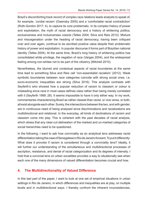Brazil's discomforting track record of complex race relations leads analysts to speak of, for example, 'cordial racism' (Owensby 2005) and a 'comfortable racial contradiction' (Roth-Gordon 2017: 4), to capture its core problematic. In its complex history of power and exploitation, the myth of racial democracy and a history of whitening politics, exclusiveness and inclusiveness coexist (Telles 2004; Silva and Reis 2012). Mixture and miscegenation under the heading of racial democracy, having been critiqued over and over again, continue to be ascribed positive value despite their problematic history of power and exploitation. In popular discourse it forms part of Brazilian national identity (Telles 2004). At the same time, Brazil's long history of whitening politics has consolidated white privilege, the negation of race (Vargas 2004), and the widespread feeling among non-whites not to be part of the citizenry (Mitchell 2010).

Nevertheless, the blurred and contextual aspects of racial boundaries at the same time lead to something Silva and Reis call 'non-essentialist racialism' (2012). Weak symbolic boundaries between race categories coincide with strong social ones, i.e. socio-economic inequalities are strong (Silva 2016). This analysis contrasts with Seyferth's who showed how a popular reduction of racism to classism or colour is misleading since race in most cases defines class rather than being merely correlated with it (Seyferth 1989: 28). It seems impossible to have it only either way. In my work, commentaries characterizing Brazil as rather classist than racist, or vice versa, or both, all exist alongside each other. Surely, the intersections between the two, and with gender, are in continuous need of being analysed since discriminations and racializations are multidirectional and relational. In the everyday, all kinds of declinations of racism and classism come into play. This is coherent with the past decades of racial analysis, which stress that any clear-cut delineation of the marked and un-marked categories of social hierarchies need to be questioned.

In the following, I want to ask how conviviality as an analytical lens addresses racist differentiation taking the case of Senegalese in Rio de Janeiro forward. To put it differently: What does it provoke if racism is considered through a conviviality lens? Ideally, it will further our understanding of the simultaneous and multidirectional processes of ascription, resistance, and denial of racial categorization and its degrees of intensity. I hold that a convivial lens on urban socialities provides a way to situationally see when each one of the many dimensions of valued differentiation becomes crucial and how.

# **4. The Multidirectionality of Valued Difference**

In this last part of the paper, I want to look at one set of empirical situations in urban settings in Rio de Janeiro, in which differences and inequalities are at play, on multiple levels and in multidirectional ways. I thereby confront the inherent inconsistencies,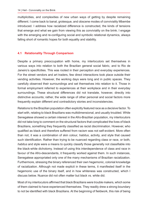multiplicities, and complexities of new urban ways of getting by despite remaining different. I come back to banal, grotesque, and obscene modes of conviviality Mbembe introduced. I address how racialized difference is constructed, the kinds of tensions that emerge and what we gain from viewing this as conviviality on the brink. I engage with the emerging and re-configuring social and symbolic relational dynamics, always falling short of romantic hopes for both equality and stability.

### **4.1 Relationality Through Comparison**

Despite a primary preoccupation with home, my interlocutors set themselves in various ways into relation to both the Brazilian general social fabric, and to Rio de Janeiro's specificities. This was rooted in their perception and everyday experiences. For the street vendors and art traders, few direct interactions took place outside their vending activities. However, the working days were long and in public spaces. They carefully observed their surroundings and set themselves into relation to it. Those in formal employment referred to experiences at their workplace and in their everyday surroundings. These structural differences did not translate, however, directly into distinctive accounts; rather, the wide range of other personal and social factors more frequently explain different and contradictory stories and inconsistencies.

Relations to the Brazilian population often explicitly featured race as a decisive factor. To start with, relating to black Brazilians was multidimensional, and usually troubled. While Senegalese showed a certain interest in the Afro-Brazilian population, my interlocutors did not take long to comment on the structural factors that complicated the lives of black Brazilians, something they frequently classified as racist discrimination. However, who qualified as black and therefore suffered from racism was not self-evident. More often than not, it was a combination of skin colour, *habitus*, activity, and style that caused such identification. Rather than trying to be nuanced regarding class or race, or both, *habitus* and style were a means to quickly classify those generally not classifiable into the black-white dichotomy. Instead of using this interdependence of class and race in favour of the Afro-descendants, it frequently worked against them. In such instances, Senegalese appropriated only one of the many mechanisms of Brazilian racialization. Furthermore, stressing the binary referenced their own hegemonic, colonial knowledge of racialization. Although not made explicit in these terms, it manifested itself in the hegemonic use of the binary itself, and in how whiteness was constructed, which I discuss below. Nuance did not often matter but black vs. white did.

Most of my interlocutors affirmed that black Brazilians were trouble makers, which some of them claimed to have experienced themselves. They readily drew a strong boundary to not be identified with black Brazilians. At the beginning of fieldwork, this risk of being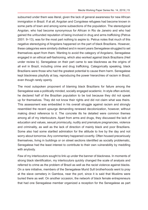subsumed under them was literal, given the lack of general awareness for new African immigration in Brazil. If at all, Angolan and Congolese refugees had become known in some parts of town and among some subsections of the population. The stereotypical Angolan, who had become synonymous for African in Rio de Janeiro and who had gained the unfounded reputation of being involved in drug and arms trafficking (Petrus 2001: 9–13), was for the most part nothing to aspire to. Petrus notes that much of this negative stereotyping of Angolans happened on the part of black Brazilians. However, these categories were similarly disliked and in recent years Senegalese struggled to set themselves apart from them. Wanting to avoid the category of Angolano, Senegalese engaged in an ethical self-fashioning, which also worked against black Brazilians (Heil under review b). Senegalese on their part came to see blackness as the origins of all evil in Brazil, including crime and drug trafficking. Categorically speaking, black Brazilians were those who had the greatest potential to cause them harm. Senegalese kept blackness playfully at bay, reproducing the power hierarchies of racism in Brazil, even though rarely openly.

The most outspoken proponent of blaming black Brazilians for failure among the Senegalese was a politically minded, socially engaged academic. In style often activist, he declared half of the Brazilian population to be lost because they did not speak up for themselves. They did not know their rights and did not claim what was theirs. This assessment was embedded in his overall struggle against racism and strongly resembled the recent upsurge demanding renewed decolonization, however, without making direct reference to it. The concrete ills he detailed were common themes among all of my interlocutors. Apart from arms and drugs, they discussed the lack of education and values, sexual promiscuity, nudity and premature pregnancies, violence and criminality, as well as the lack of direction of mainly black and poor Brazilians. Some also had some startled admiration for the attitude to live by the day and not worry about tomorrow. Any commentary happened covertly. Often housed precariously themselves, living in buildings or on street sections identified as socially problematic, Senegalese had the least interest to contribute to their own vulnerability by meddling with anybody.

Few of my interlocutors sought to link up under the banner of blackness. In moments of strong black identification, my interlocutors quickly changed the scale of analysis and referred to crime as the problem of Brazil as well as the racist violence against blacks. On a rare initiative, members of the Senegalese Murid Sufi brotherhoods went to pray at the slave cemetery in Gamboa, near the port, since it is said that Muslims were buried there as well. On another occasion, the network of black female entrepreneurs that had one Senegalese member organized a reception for the Senegalese as part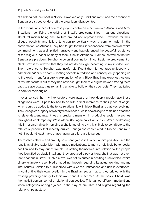of a little fair at their seat in Niteroi. However, only Brazilians went, and the absence of Senegalese street vendors left the organizers disappointed.

In the virtual absence of common projects between recent-arrived Africans and Afro-Brazilians, identifying the origins of Brazil's predicament led in various directions, structural racism being one. To turn around and reproach black Brazilians for their alleged passivity and failure to organize politically was a common twist in the conversation. As Africans, they had fought for their independence from colonial, white commandment, as a simplified narrative went that referenced the peaceful resistance of the religious leader of many of them, Cheikh Akhmadou Bamba, as well as the first Senegalese president Senghor to colonial domination. In contrast, the predicament of black Brazilians indexed that they did not do enough, according to my interlocutors. Their reference to Senghor was insofar significant that his negritude philosophy of *enracinement et ouverture* – rooting oneself in tradition and consequently opening up to the world – lent for a strong explanation of why Black Brazilians were lost. As one of my interlocutors put it: they had never sought their true origins beyond tracing them back to slave boats, thus remaining unable to build on their true roots. They had failed to care for their origins.

I never sensed that my interlocutors were aware of how deeply problematic these allegations were. It possibly had to do with a final reference to their place of origin, which could be added to the tense relationship with black Brazilians that was evolving. The Senegalese legacy of slavery was silenced, while social stigma remained attached to slave descendants. It was a crucial dimension in producing social hierarchies throughout contemporary West Africa (Bellagamba et al. 2017). While addressing this in research directly remains a challenge of its own, it is likely to contribute to the relative superiority that recently-arrived Senegalese constructed in Rio de Janeiro. If not, it would at least make a fascinating parallel case to pursue.

Themselves black – and proudly so – Senegalese in Rio de Janeiro possibly used the readily available racist idiom with mixed motivations: to mark a relatively better social position and to stay out of trouble. In setting themselves into relation to the people they identified as black Brazilians, they produced a power hierarchy that was not even that clear cut in Brazil. Such a move, clear at its outset in positing a racist black-white binary, ultimately resembled a muddling through regarding its actual working and my interlocutors' relation to it, dispersed with silences, intimations and rich in overtones. In confronting their own location in the Brazilian social matrix, they bridled with the existing power geometry to their own benefit, it seemed. At the basis, I hold, was the implicit comparison of a relational perspective. This gained different modulations when categories of origin joined in the play of prejudice and stigma regarding the relationships at stake.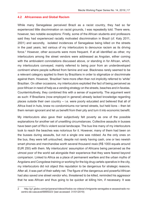### **4.2 Africanness and Global Racism**

While many Senegalese perceived Brazil as a racist country, they had so far experienced little discrimination on racist grounds, I was repeatedly told. There were, however, two notable exceptions: Firstly, some of the African students and professors said they had experienced racially motivated discrimination in Brazil (cf. Kaly 2011, 2001) and secondly, isolated incidences of Senegalese being killed on the streets in the past years, led various of my interlocutors to denounce racism as its driving force.2 However, other accounts were more frequent. If at all identified as other, my interlocutors among the street vendors were addressed as Angolan, either coming with the ambivalent connotations discussed above, or standing in for African, which, my interlocutors conveyed, mainly referred to being poor from an underdeveloped continent where people suffered from famine and war. Blackness rarely seemed to be a relevant category applied to them by Brazilians in order to stigmatize or discriminate against them. However, 'Brazilian' here more often than not implicitly referred to 'white' Brazilian. On other occasions, my interlocutors exploited the fact of being perceived as poor African in need of help as a vending strategy on the streets, beaches and in favelas. Counterintuitively, they combined this with a sense of superiority. The argument went as such: If Brazilians (now employed in general) already lacked knowledge regarding places outside their own country -- i.e. were poorly educated and believed that all of Africa lived in huts, knew no condominiums nor tarred streets, but held lions – then let them remain ignorant and let us benefit from their pity and turn it into economic benefit.

My interlocutors also gave their subjectively felt poverty as one of the possible explanations for another set of unsettling circumstances. Collective assaults in busses have been part of Rio's violent social landscape. The bus line many of my interlocutors took to reach the beaches was notorious for it. However, many of them had been on the busses during assaults, but not a single one was robbed. As the only ones on the bus, they were left untouched, despite not rarely having cash, one or two newish smart phones and merchandise worth several thousand *reais* (R\$ 1000 equals around EUR 250) with them. My interlocutors' assumption of Africans being perceived as the utmost poor of the world sat alongside their experience that they were feared beyond comparison. Linked to Africa as a place of permanent warfare and the urban myths of Angolans and Congolese training or working for the big drug cartels operative in the city, my interlocutors did not object this reputation to be dangerous for strategic reasons. After all, it was part of their safety net. The figure of the dangerous and powerful African had also saved one street vendor who, threatened to be killed, reminded his aggressor that he was African and thus going to be quicker at killing him, if necessary. It was

<sup>2</sup> http://g1.globo.com/pr/parana/videos/t/todos-os-videos/v/imigrante-senegales-e-assassinado-nocentro-de-cascavel/6895023/ (last accessed: 31/01/2019)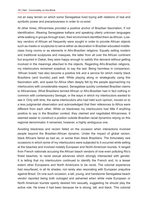not an easy terrain on which some Senegalese lived toying with relations of real and symbolic power and precariousness in order to co-exist.

At other times, Africanness provided a positive anchor of Brazilian fascination, if not identification. Wearing Senegalese kaftans and speaking utterly unknown languages while walking in groups through town, their environment identified them as African. Lowkey vendors of African art frequently were sought in order to provide African objects such as masks or sculptures to serve either as decoration in Brazilian educated middleclass living rooms or as elements in Afro-Brazilian religions. Equally selling modern and traditional sculptures and masques, the latter from all over the African continent but acquired in Dakar, they were happy enough to satisfy this demand without getting involved in the meanings attached to the objects. Regarding Afro-Brazilian religions, my interlocutors remained sceptical, to say the last. Being harmless in comparison, 'African braids' had also become a positive link and a service for which mainly black Brazilians (and tourists) paid well. While playing along or strategically using this fascination with, and quest for Africa often deeply felt by the people approaching my interlocutors with considerable respect, Senegalese quickly contested Brazilian claims to Africanness. What Brazilians termed African or Afro-Brazilian had in fact nothing in common with contemporary Senegal, or the ways in which my interlocutors wanted to see it. Only with time, the same interlocutors who had held such opinion, moved on to a less judgmental observation and acknowledged that their references to Africa were different from each other. While on blackness my interlocutors had little if anything positive to say in the Brazilian context, they claimed and negotiated Africanness. It seemed easier to construct a position outside Brazilian racial dynamics relying on this regional denominator. It remained, however, a highly ambiguous one.

Avoiding blackness and racism failed on the occasion when interactions involved people beyond the Brazilian-African dynamic. Under the impact of global racism, black Africans faired as bad as, or worse than black Brazilians. The fortunately rare occasions in which some of my interlocutors were subjected to it occurred while selling at the beaches and involved notably European and North-American tourists. It ranged from French nationals accusing the African beach vendors of now even polluting Rio's finest beaches, to racist sexual advances which strongly intersected with gender. It is telling that my interlocutors continued to identify the French and, to a lesser extent other Europeans and North Americans to be racist. The colonial experience had resurfaced, in all its shades, not rarely also resonating with European prejudice against Brazil. On one such occasion, a tall, young, and handsome Senegalese beach vendor reported being both outraged and ashamed when white male European or North American tourists openly desired him sexually, suggesting he should play the active role. He knew it had been because he is strong, tall, and black. This colonial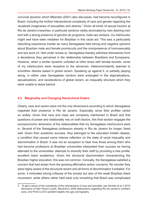convivial dynamic which Mbembe (2001) also discusses, had become reconfigured in Brazil, including the further intersectional complexity of race and gender regarding the racialized imaginaries of sexualities and desires. $^3$  Given all kinds of sexual tourism at Rio de Janeiro's beaches, in particular sections visibly dominated by men desiring men and with a strong presence of *garotos de programa*, male sex workers, my interlocutor might well have been mistaken for Brazilian in this racist act. This was a particularly disturbing experience insofar as many Senegalese held strong and negative opinions about Brazilian male and female promiscuity and the omnipresence of homosexuality and sex work (cf. Heil under review a). Senegalese thereby withdrew themselves from a decadence they perceived in the relationship between Brazilians and Europeans. However, when a similar dynamic unfolded at other times with female tourists, some of my interlocutors were receptive to the advances. Heteronormativity seemed to smoothen desires based in global racism. Speaking up against it, or partially playing along, in either case Senegalese vendors were entangled in the stigmatizations, sexualizations, and racializations of global racism, an inequality structure which they were unable to leave behind.

#### **4.3 Marginality and Changing Hierarchical Orders**

Clearly, race and racism were not the only dimensions according to which Senegalese negotiate their presence in Rio de Janeiro. Especially, since their profiles varied so widely. Given that race and class are complexly intertwined in Brazil and that questions of power and relationality rely on both factors, this final section engages the socioeconomic dimension of the relationalities that my Senegalese interlocutors were in. Several of the Senegalese professors already in Rio de Janeiro for longer, fared well. Given their academic success, they belonged to the educated middle classes, a condition that caused some intense reflection on the state of racial inequality and discrimination in Brazil. It was not an exception to hear how those among them who had become professors at Brazilian universities interpreted their success as having attended to the universities' attempts to diversify their staff by providing a rare profile: excellent black academics. Given the structural discrimination characterizing the Brazilian higher education, this was not common. Ironically, the Senegalese satisfied a concern that had arisen from the growing affirmative action concerns. No wonder they were highly aware of the structural racism and all forms of discrimination it entailed. For some, it motivated strong critiques of the society but also of the weak Brazilian black movement, while others rather held back only remarking that Brazil was complicated

<sup>3</sup> To get a sense of the complexity of the intersections of race and sexuality, see Simões et al.'s 2010 discussion of São Paulo's youth, Moutinho's 2006 elaborations regarding Rio de Janeiro's northern zone, and Pinho's 2012 parallel insights into gay pornography.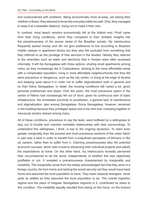and overburdened with problems. Being economically more at ease, yet raising their children in Brazil, they seemed to know the everyday battle too well. Only, they managed to keep it at a bearable distance, trying not to make it their own.

In contrast, most beach vendors economically felt at the bottom end. Proof came from their living conditions, which they compared to their (limited) insights into the precariousness of the poorer strata of the Brazilian society. My interlocutors frequently lacked money and did not give preference to live according to Brazilian middle classes in apartment blocks but they also felt excluded from something that they referred to as the privilege of free services in the *favelas*. Hereby they referred to the amenities such as water and electricity that in *favelas* were often accessed informally. It left the Senegalese with three options: sharing small apartments among many, as they increasingly did in Copacabana, sticking to the more affordable areas with a complicated reputation; living in more affordable neighbourhoods that they felt were precarious or dangerous, such as the city centre; or living at the edge of *favelas* and keeping quiet about it in order not to suffer stigmatization both in general and by their follow Senegalese. In detail, the housing conditions still varied a lot, given personal preferences and styles. Over the years, the most precarious option in the centre of Niteroi had increasingly fell out of favor, given its continuous lack of basic infrastructure, the immediate proximity to prostitution, a general lack of maintenance and stigmatization, also among Senegalese. Some Senegalese, however, remained in the building because they privileged space and a low rent over cramping together in minuscule studios shared among many.

All of these conditions, precarious to say the least, were buffered by a willingness to stay out of trouble and maintain workable relationships with their surroundings. To understand this willingness, I think, is key to the ongoing dynamics. To claim even greater marginality than the poorest and most precarious sections of the urban fabric in part was a twist in order to benefit from a prejudiced perception of Africans in Rio de Janeiro, rather than to suffer from it. Claiming precariousness also hid potential economic success, which was crucial to advancing their individual projects and satisfy the expectations at home. On the other hand, my interlocutors honestly perceived their circumstances to be the worst, independently of whether this was objectively justifiable or not. It revealed a precariousness characterized by marginality and instability. The marginality arose from the widely acknowledged fact that they were in a foreign country, far from home and lacking the social security net they would have back home and assumed the local population to have. They were classical strangers, never quite as settled as they assumed the local population to be. The overall migration regime and the place of irregular Senegalese migrants in it, contributed its share to this condition. The instability equally resulted from being on the move, on the lookout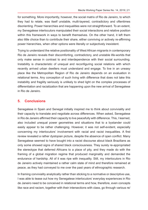for something. More importantly, however, the social matrix of Rio de Janeiro, to which they had to relate, was itself unstable, multi-layered, contradictory and oftentimes disorienting. Power hierarchies and inequalities were not straightforward. To an extent, my Senegalese interlocutors manipulated their social interactions and relative position within this framework in ways to benefit themselves. On the other hand, it left them also little choice than to contribute their share, either conniving or actively re-affirming power hierarchies, when other options were literally or subjectively inexistent.

Trying to understand the relative positionality of West African migrants in contemporary Rio de Janeiro reveals their discomforting, contradictory, and unstable life-worlds that only make sense in contrast to and interdependence with their social surrounding. Instability is characteristic of unequal and reconfiguring social relations with which recently arrived urban dwellers must understand and engage. To live in an uneasy place like the Metropolitan Region of Rio de Janeiro depends on an evaluation in relational terms. Any conception of such living with difference that does not take this instability and fragility seriously is unlikely to shed light on the complex processes of differentiation and racialization that are happening upon the new arrival of Senegalese in Rio de Janeiro.

# **5. Conclusions**

Senegalese in Spain and Senegal initially inspired me to think about conviviality and their capacity to translate and negotiate across differences. When asked, Senegalese in Rio de Janeiro affirmed their capacity to live peacefully with difference. This, I learned, also included unequal power geometries and situations that to a bystander could easily appear to be rather challenging. However, it was not self-evident, especially concerning my interlocutors' involvement with racial and racist inequalities. A first review revealed a rather dystopian picture, despite the absence of open conflict. Many Senegalese seemed to have bought into a racist discourse about black Brazilians as only some showed signs of shared black consciousness. They surely re-appropriated the stereotype that deferred Africans to a place of pity, and they made do with the framing of a global migration regime that produced marginality and demanded the endurance of hardship. All of it was ripe with inequality. Still, my interlocutors in Rio de Janeiro actively maintained a rather calm state of mind and therefore remained at peace, as they had conveyed to me over the past years of ethnographic research.

In framing conviviality analytically rather than sticking to a normative or descriptive use, I was able to tease out how my Senegalese interlocutors' everyday experiences in Rio de Janeiro need to be conceived in relational terms and how, therefore, even concepts like race and racism, together with their intersections with class, go through various re/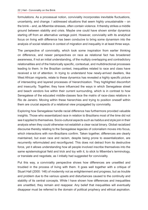formulations. As a processual notion, conviviality incorporates inevitable fluctuations, uncertainty, and change. I addressed situations that seem highly unsustainable – on the brink – and, as Mbembe stresses, often contain violence. It thereby strikes a middle ground between stability and crisis. Maybe one could have shown similar dynamics starting off from an alternative vantage point. However, conviviality with its analytical focus on living *with* difference has been conducive to bring some dynamism into the analysis of social relations in context of migration and inequality in at least three ways.

The perspective of conviviality, which took some inspiration from earlier thinking on difference, and newer perspectives on race as relational fact has broadened awareness, if not an initial understanding, of the multiply overlapping and contradictory relationalities and of the historically specific, contextual, and multidirectional processes leading to them. In the Brazilian context, inequalities related to race and class have received a lot of attention. In trying to understand how newly-arrived dwellers, like West African migrants, relate to these dynamics has revealed a highly specific picture of intersecting and layered processes of hierarchization. They highlighted discomfort and insecurity. Together, they have influenced the ways in which Senegalese street and beach vendors live within their current surrounding, which is in contrast to how Senegalese of the educated middle-classes face the matrix of race-class relations in Rio de Janeiro. Moving within these hierarchies and trying to position oneself within them are crucial aspects of a relational view propagated by conviviality.

Exploring how Senegalese handle racial difference has furthermore provided valuable insights. Those who essentialized race in relation to Brazilians most of the time did not see it applied to themselves. Socio-cultural aspects such as *habitus* and style join in their analysis when they could otherwise not establish a clear racial binary. Global racialized discourse thereby relating to the Senegalese legacies of colonialism moves into focus, which interactions with non-Brazilians confirm. Taken together, differences are clearly maintained, but even race and racism, despite being prone to essentialization, are recurrently reformulated and reconfigured. This does not detract from its destructive force, yet it allows understanding how all people involved inscribe themselves into the same epistemological field and trick and toy with it, to stick to Mbembe's terminology, or translate and negotiate, as I initially had suggested for conviviality.

Put this way, a conviviality perspective shows how differences are unsettled and troubled in the process of living with them. It goes well together with a critique of Stuart Hall (2000: 146) of modernity not as enlightenment and progress, but as trouble and problem due to the various upsets and disturbances caused to the continuity and stability of its central concepts. While I have shown how differences and inequalities are unsettled, they remain and reappear. Any belief that inequalities will eventually disappear must be referred to the domain of political prophecy and ethical aspiration.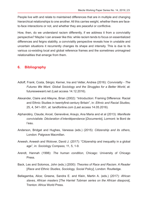People live with and relate to maintained differences that are in multiple and changing hierarchical relationships to one another. All this carries weight, whether there are faceto-face interactions or not, and whether they are peaceful or conflictive.

How, then, do we understand racism differently, if we address it from a conviviality perspective? Maybe I can answer like this: while racism tends to focus on essentialized differences and feigns stability, a conviviality perspective reveals how in unstable and uncertain situations it recurrently changes its shape and intensity. This is due to its various co-existing local and global reference frames and the sometimes unimagined relationalities that emerge from them.

## **6. Bibliography**

- Adloff, Frank; Costa, Sérgio; Kerner, Ina and Vetter, Andrea (2016): *Conviviality The Futures We Want. Global Sociology and the Struggles for a Better World*, at: futureswewant.net (Last access 14.12.2016).
- Alexander, Claire and Alleyne, Brian (2002): "Introduction: Framing Difference: Racial and Ethnic Studies in twentyfirst-century Britain", in: *Ethnic and Racial Studies,*  25, 4, 541–551, at: tandfonline.com (Last access 14.05.2016).
- Alphandéry, Claude; Ancel, Geneviève; Araujo, Ana Maria and et al (2013): *Manifeste convivialiste. Déclaration d'interdépendance* [*Documents*], Lormont: le Bord de l'eau.
- Anderson, Bridget and Hughes, Vanessa (eds.) (2015): *Citizenship and its others*, London: Palgrave Macmillan.
- Aneesh, Aneesh and Wolover, David J. (2017): "Citizenship and inequality in a global age", in: *Sociology Compass,* 11, 5, 1-9.
- Arendt, Hannah (1998): *The human condition*, Chicago: University of Chicago Press.
- Back, Les and Solomos, John (eds.) (2000): *Theories of Race and Racism. A Reader* [*Race and Ethnic Studies, Sociology, Social Policy*], London: Routledge.
- Bellagamba, Alice; Greene, Sandra E. and Klein, Martin A. (eds.) (2017): *African slaves, African masters* [*The Harriet Tubman series on the African diaspora*], Trenton: Africa World Press.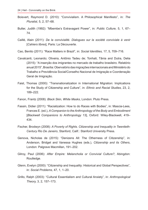- Boisvert, Raymond D. (2010): "Convivialism. A Philosophical Manifesto", in: *The Pluralist,* 5, 2, 57–68.
- Butler, Judith (1992): "Mbembe's Extravagant Power", in: *Public Culture,* 5, 1, 67– 74.
- Caillé, Alain (2011): *De la convivialité. Dialogues sur la société conviviale à venir* [*Cahiers libres*], Paris: La Découverte.
- Cao, Benito (2011): "Race Matters in Brazil", in: *Social Identities,* 17, 5, 709–716.
- Cavalcanti, Leonardo; Oliveira, Antônio Tadeu de; Tonhati, Tânia and Dutra, Delia (2015): "A inserção dos imigrantes no mercado de trabalho brasileiro. Relatório anual 2015", Brasília: Obervatório das migrações internacionais and Ministério do Trabalho e Previdência Social/Conselho Nacional de Imigração e Coordenação Geral de Imigração.
- Faist, Thomas (2000): "Transnationalization in International Migration: Implications for the Study of Citizenship and Culture", in: *Ethnic and Racial Studies,* 23, 2, 189–222.
- Fanon, Frantz (2008): *Black Skin, White Masks*, London: Pluto Press.
- Fassin, Didier (2011): "Racialization: How to do Races with Bodies", in: Mascia-Lees, Frances E. (ed.), *A Companion to the Anthropology of the Body and Embodiment* [*Blackwell Companions to Anthropology* 13], Oxford: Wiley-Blackwell, 419– 434.
- Fischer, Brodwyn (2008): *A Poverty of Rights. Citizenship and Inequality in Twentieth-Century Rio De Janeiro*, Stanford, Calif.: Stanford University Press.
- Genova, Nicholas de (2015): "Denizens All: The Otherness of Citizenship", in: Anderson, Bridget and Vanessa Hughes (eds.), *Citizenship and its Others*, London: Palgrave Macmillan, 191–202.
- Gilroy, Paul (2006): *After Empire: Melancholia or Convivial Culture?*, Abingdon: Routledge.
- Glenn, Evelyn (2000): "Citizenship and Inequality: Historical and Global Perspectives", in: *Social Problems,* 47, 1, 1–20.
- Grillo, Ralph (2003): "Cultural Essentialism and Cultural Anxiety", in: *Anthropological Theory,* 3, 2, 157–173.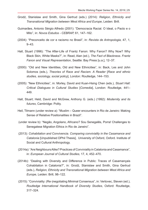- Grodź, Stanislaw and Smith, Gina Gertrud (eds.) (2014): *Religion, Ethnicity and Transnational Migration between West Africa and Europe*, Leiden: Brill.
- Guimarães, Antonio Sérgio Alfredo (2001): "Democracia Racial. O Ideal, o Pacto e o Mito", in: *Novos Estudos - CEBRAP,* 61, 147–162.
- (2004): "Preconceito de cor e racismo no Brasil", in: *Revista de Antropologia,* 47, 1, 9–43.
- Hall, Stuart (1996): "The After-Life of Frantz Fanon: Why Fanon? Why Now? Why Black Skin, White Masks?", in: Read, Alan (ed.), *The Fact of Blackness. Frantz Fanon and Visual Representation*, Seattle: Bay Press [u.a.], 12–37.
- (2000): "Old and New Identities, Old and New Ethnicities", in: Back, Les and John Solomos (eds.), *Theories of Race and Racism. A Reader* [*Race and ethnic studies, sociology, social policy*], London: Routledge, 144–153.
- (2005): "New Ethnicities", in: Morley, David and Kuan-Hsing Chen (eds.), *Stuart Hall: Critical Dialogues in Cultural Studies* [*Comedia*], London: Routledge, 441– 449.
- Hall, Stuart; Held, David and McGrew, Anthony G. (eds.) (1992): *Modernity and its futures*, Cambridge: Polity.
- Heil, Tilmann (under review a): "Muslim Queer encounters in Rio de Janeiro: Making Sense of Relative Positionalities in Brazil".
- (under review b): "Negão, Angolano, Africano? Sou Senegalês, Porra! Challenges to Senegalese Migration Ethics in Rio de Janeiro".
- (2013): *Cohabitation and Convivencia. Comparing conviviality in the Casamance and Catalonia* [Unpublished DPhil Thesis], University of Oxford, Oxford. Institute of Social and Cultural Anthropology.
- (2014a): "Are Neighbours Alike? Practices of Conviviality in Catalonia and Casamance", in: *European Journal of Cultural Studies,* 17, 4, 452–470.
- (2014b): "Dealing with Diversity and Difference in Public: Traces of Casamançais Cohabitation in Catalonia?", in: Grodź, Stanislaw and Smith, Gina Gertrud (eds.), *Religion, Ethnicity and Transnational Migration between West Africa and Europe*, Leiden: Brill, 98–122.
- (2015): "Conviviality: (Re-)negotiating Minimal Consensus", in: Vertovec, Steven (ed.), *Routledge International Handbook of Diversity Studies*, Oxford: Routledge, 317–324.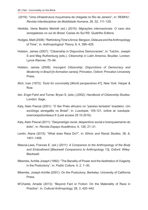- (2018): "Uma infraestrutura muçulmana de chegada no Rio de Janeiro", in: *REMHU : Revista Interdisciplinar da Mobilidade Humana,* 26, 52, 111–129.
- Herédia, Vania Beatriz Merlotti (ed.) (2015): *Migrações internacionais. O caso dos senegaleses no sul do Brasil*, Caxias do Sul RS: Quatrilho Editora.
- Hodges, Matt (2008): "Rethinking Time's Arrow: Bergson, Deleuze and the Anthropology of Time", in: *Anthropological Theory,* 8, 4, 399–429.
- Holston, James (2007): "Citizenship in Disjunctive Democracies", in: Tulchin, Joseph S and Meg Ruthenburg (eds.), *Citizenship in Latin America*, Boulder, London: Lynne Rienner, 75–94.
- Holston, James (2008): *Insurgent Citizenship: Disjunctions of Democracy and Modernity in Brazil* [*In-formation series*], Princeton, Oxford: Princeton University Press.
- Illich, Ivan (1973): *Tools for conviviality* [*World perspectives* 47], New York: Harper & Row.
- Isin, Engin Fahri and Turner, Bryan S. (eds.) (2002): *Handbook of Citizenship Studies*, London: Sage.
- Kaly, Alain Pascal (2001): "O Ser Preto africano no "paraíso terrestre" brasileiro. Um sociólogo senegalês no Brasil", in: *Lusotopie,* 105-121, online at: lusotopie. sciencespobordeaux.fr (Last access 25.10.2016).
- Kaly, Alain Pascal (2011): "Desprestígio racial, desperdício social e branqueamento do êxito", in: *Revista Espaço Acadêmico,* 6, 126, 21–31.
- Lentin, Alana (2015): "What does Race Do?", in: *Ethnic and Racial Studies,* 38, 8, 1401–1406.
- Mascia-Lees, Frances E. (ed.) (2011): *A Companion to the Anthropology of the Body and Embodiment* [*Blackwell Companions to Anthropology* 13], Oxford: Wiley-Blackwell.
- Mbembe, Achille Joseph (1992): "The Banality of Power and the Aesthetics of Vulgarity in the Postcolony", in: *Public Culture,* 4, 2, 1–30.
- Mbembe, Joseph Achille (2001): *On the Postcolony*, Berkeley: University of California Press.
- M'Charek, Amade (2013): "Beyond Fact or Fiction: On the Materiality of Race in Practice", in: *Cultural Anthropology,* 28, 3, 420–442.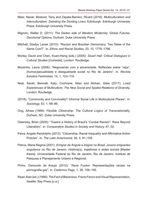- Meer, Nasar; Modood, Tariq and Zapata-Barrero, Ricard (2016): *Multiculturalism and Interculturalism: Debating the Dividing Lines*, Edinburgh: Edinburgh University Press: Edinburgh University Press.
- Mignolo, Walter D. (2011): *The Darker side of Western Modernity: Global Futures, Decolonial Options*, Durham: Duke University Press.
- Mitchell, Gladys Lanier (2010): "Racism and Brazilian Democracy: Two Sides of the Same Coin?", in: *Ethnic and Racial Studies,* 33, 10, 1776–1796.
- Morley, David and Chen, Kuan-Hsing (eds.) (2005): *Stuart Hall: Critical Dialogues in Cultural Studies* [*Comedia*], London: Routledge.
- Moutinho, Laura (2006): "Negociando com a adversidade. Reflexões sobre "raça", (homos)sexualidade e desigualdade social no Rio de Janeiro", in: *Revista Estudos Feministas,* 14, 1, 103–116.
- Neal, Sarah; Bennett, Katy; Cochrane, Allan and Mohan, Giles (2017): *Lived Experiences of Multiculture: The New Social and Spatial Relations of Diversity*, London: Routledge.
- (2018): "Community and Conviviality? Informal Social Life in Multicultural Places", in: *Sociology,* 53, 1, 69–86.
- Ong, Aihwa (1999): *Flexible Citizenship: The Cultural Logics of Transnationality*, Durham, NC: Duke University Press.
- Owensby, Brian (2005): "Toward a History of Brazil's "Cordial Racism": Race Beyond Liberalism", in: *Comparative Studies in Society and History,* 47, 02.
- Paiva, Angela Randolpho (2012): "Citizenship, Racial Inequality and Affirmative Action Policies", in: *The Latin Americanist,* 56, 4, 91–109.
- Petrus, Maria Regina (2001): *Emigrar de Angola e imigrar no Brasil. Jovens imigrantes angolanos no Rio de Janeiro. História(s), trajetórias e redes sociais* [Master thesis]. Universidade Federal do Rio de Janeiro, Rio de Janeiro. Instituto de Pesquisa e Planejamento Urbano e Regional.
- Pinho, Osmundo de Araujo (2012): "*Race Fucker*: Representações raciais na pornografia gay", in: *Cadernos Pagu,* 1, 38, 159–195.
- Read, Alan (ed.) (1996): *The Fact of Blackness. Frantz Fanon and Visual Representation*, Seattle: Bay Press [u.a.].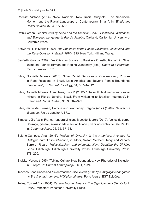- Redclift, Victoria (2014): "New Racisms, New Racial Subjects? The Neo-liberal Moment and the Racial Landscape of Contemporary Britain", in: *Ethnic and Racial Studies,* 37, 4, 577–588.
- Roth-Gordon, Jennifer (2017): *Race and the Brazilian Body: Blackness, Whiteness, and Everyday Language in Rio de Janeiro*, Oakland, California: University of California Press.
- Schwarcz, Lilia Moritz (1999): *The Spectacle of the Races: Scientists, Institutions, and the Race Question in Brazil, 1870-1930*, New York: Hill and Wang.
- Seyferth, Giralda (1989): "As Ciências Sociais no Brasil e a Questão Racial", in: Silva, Jaime da; Pátricia Birman and Regina Wanderley (eds.), *Cativeiro e liberdade*, Rio de Janeiro: UERJ.
- Silva, Graziella Moraes (2016): "After Racial Democracy: Contemporary Puzzles in Race Relations in Brazil, Latin America and Beyond from a Boundaries Perspective", in: *Current Sociology,* 64, 5, 794–812.
- Silva, Graziella Moraes D. and Reis, Elisa P. (2012): "The multiple dimensions of racial mixture in Rio de Janeiro, Brazil. From whitening to Brazilian negritude", in: *Ethnic and Racial Studies,* 35, 3, 382–399.
- Silva, Jaime da; Birman, Pátricia and Wanderley, Regina (eds.) (1989): *Cativeiro e liberdade*, Rio de Janeiro: UERJ.
- Simões, Júlio Assis; França, Isadora Lins and Macedo, Marcio (2010): "Jeitos de corpo. Cor/raça, gênero, sexualidade e sociabilidade juvenil no centro de São Paulo", in: *Cadernos Pagu,* 26, 35, 37–78.
- Solano-Campos, Ana (2016): *Models of Diversity in the Americas: Avenues for Dialogue and Cross-Pollination*, in: Meer, Nasar; Modood, Tariq; and Zapata-Barrero, Ricard, *Multiculturalism and Interculturalism: Debating the Dividing Lines*, Edinburgh: Edinburgh University Press: Edinburgh University Press, 178–200.
- Stolcke, Verena (1995): "Talking Culture: New Boundaries, New Rhetorics of Exclusion in Europe", in: *Current Anthropology,* 36, 1, 1–24.
- Tedesco, João Carlos and Kleidermacher, Giselle (eds.) (2017): *A imigração senegalesa no Brasil e na Argentina. Múltiplos olhares*, Porto Alegre: EST Edições.
- Telles, Edward Eric (2004): *Race in Another America: The Significance of Skin Color in Brazil*, Princeton: Princeton University Press.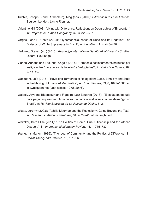- Tulchin, Joseph S and Ruthenburg, Meg (eds.) (2007): *Citizenship in Latin America*, Boulder, London: Lynne Rienner.
- Valentine, Gill (2008): "Living with Difference: Reflections on Geographies of Encounter", in: *Progress in Human Geography,* 32, 3, 323–337.
- Vargas, João H. Costa (2004): "Hyperconsciousness of Race and Its Negation: The Dialectic of White Supremacy in Brazil", in: *Identities,* 11, 4, 443–470.
- Vertovec, Steven (ed.) (2015): *Routledge International Handbook of Diversity Studies*, Oxford: Routledge.
- Vianna, Adriana and Facundo, Ángela (2015): "Tempos e deslocamentos na busca por justiça entre "moradores de favelas" e "refugiados"", in: *Ciência e Cultura,* 67, 2, 46–50.
- Wacquant, Loïc (2016): "Revisiting Territories of Relegation: Class, Ethnicity and State in the Making of Advanced Marginality", in: *Urban Studies,* 53, 6, 1077–1088, at: loicwacquant.net (Last access 10.05.2016).
- Waldely, Aryadne Bittencourt and Figueira, Luiz Eduardo (2018): ""Eles fazem de tudo para pegar as pessoas". Administrando narrativas dos solicitantes de refúgio no Brasil", in: *Revista Brasileira de Sociologia do Direito,* 5, 2.
- Weate, Jeremy (2003): "Achille Mbembe and the Postcolony: Going Beyond the Text", in: *Research in African Literatures,* 34, 4, 27–41, at: muse.jhu.edu.
- Whitaker, Beth Elise (2011): "The Politics of Home. Dual Citizenship and the African Diaspora", in: *International Migration Review,* 45, 4, 755–783.
- Young, Iris Marion (1986): "The Ideal of Community and the Politics of Difference", in: *Social Theory and Practice,* 12, 1, 1–26.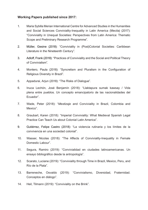## **Working Papers published since 2017:**

- 1. Maria Sybilla Merian International Centre for Advanced Studies in the Humanities and Social Sciences Conviviality-Inequality in Latin America (Mecila) (2017): "Conviviality in Unequal Societies: Perspectives from Latin America: Thematic Scope and Preliminary Research Programme".
- 2. Müller, Gesine (2018): "Conviviality in (Post)Colonial Societies: Caribbean Literature in the Nineteenth Century".
- 3. Adloff, Frank (2018): "Practices of Conviviality and the Social and Political Theory of Convivialism".
- 4. Montero, Paula (2018): "Syncretism and Pluralism in the Configuration of Religious Diversity in Brazil".
- 5. Appadurai, Arjun (2018): "The Risks of Dialogue".
- 6. Inuca Lechón, José Benjamín (2018): "Llaktapura sumak kawsay / Vida plena entre pueblos. Un concepto emancipatorio de las nacionalidades del Ecuador".
- 7. Wade, Peter (2018): "*Mestizaje* and Conviviality in Brazil, Colombia and Mexico".
- 8. Graubart, Karen (2018): "Imperial Conviviality: What Medieval Spanish Legal Practice Can Teach Us about Colonial Latin America".
- 9. Gutiérrez, Felipe Castro (2018): "La violencia rutinaria y los límites de la convivencia en una sociedad colonial".
- 10. Wasser, Nicolas (2018): "The Affects of Conviviality-Inequality in Female Domestic Labour".
- 11. Segura, Ramiro (2019): "Convivialidad en ciudades latinoamericanas. Un ensayo bibliográfico desde la antropología".
- 12. Scarato, Luciane (2019): "Conviviality through Time in Brazil, Mexico, Peru, and Río de la Plata".
- 13. Barreneche, Osvaldo (2019): "Convivialismo, Diversidad, Fraternidad. Conceptos en diálogo".
- 14. Heil, Tilmann (2019): "Conviviality on the Brink".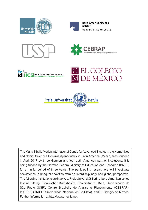



Ibero-Amerikanisches Institut Preußischer Kulturbesitz







EL COLEGIO **DE MÉXICO** 



The Maria Sibylla Merian International Centre for Advanced Studies in the Humanities and Social Sciences Conviviality-Inequality in Latin America (Mecila) was founded in April 2017 by three German and four Latin American partner institutions. It is being funded by the German Federal Ministry of Education and Research (BMBF) for an initial period of three years. The participating researchers will investigate coexistence in unequal societies from an interdisciplinary and global perspective. The following institutions are involved: Freie Universität Berlin, Ibero-Amerikanisches Institut/Stiftung Preußischer Kulturbesitz, Universität zu Köln, Universidade de São Paulo (USP), Centro Brasileiro de Análise e Planejamento (CEBRAP), IdICHS (CONICET/Universidad Nacional de La Plata), and El Colegio de México. Further information at http://www.mecila.net.